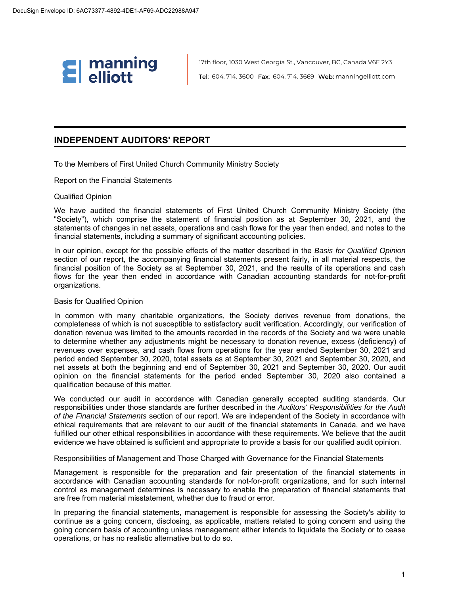

17th floor, 1030 West Georgia St., Vancouver, BC, Canada V6E 2Y3 Tel: 604. 714. 3600 Fax: 604. 714. 3669 Web: manningelliott.com

### **INDEPENDENT AUDITORS' REPORT**

To the Members of First United Church Community Ministry Society

Report on the Financial Statements

#### Qualified Opinion

We have audited the financial statements of First United Church Community Ministry Society (the "Society"), which comprise the statement of financial position as at September 30, 2021, and the statements of changes in net assets, operations and cash flows for the year then ended, and notes to the financial statements, including a summary of significant accounting policies.

In our opinion, except for the possible effects of the matter described in the *Basis for Qualified Opinion* section of our report, the accompanying financial statements present fairly, in all material respects, the financial position of the Society as at September 30, 2021, and the results of its operations and cash flows for the year then ended in accordance with Canadian accounting standards for not-for-profit organizations.

#### Basis for Qualified Opinion

In common with many charitable organizations, the Society derives revenue from donations, the completeness of which is not susceptible to satisfactory audit verification. Accordingly, our verification of donation revenue was limited to the amounts recorded in the records of the Society and we were unable to determine whether any adjustments might be necessary to donation revenue, excess (deficiency) of revenues over expenses, and cash flows from operations for the year ended September 30, 2021 and period ended September 30, 2020, total assets as at September 30, 2021 and September 30, 2020, and net assets at both the beginning and end of September 30, 2021 and September 30, 2020. Our audit opinion on the financial statements for the period ended September 30, 2020 also contained a qualification because of this matter.

We conducted our audit in accordance with Canadian generally accepted auditing standards. Our responsibilities under those standards are further described in the *Auditors' Responsibilities for the Audit of the Financial Statements* section of our report. We are independent of the Society in accordance with ethical requirements that are relevant to our audit of the financial statements in Canada, and we have fulfilled our other ethical responsibilities in accordance with these requirements. We believe that the audit evidence we have obtained is sufficient and appropriate to provide a basis for our qualified audit opinion.

Responsibilities of Management and Those Charged with Governance for the Financial Statements

Management is responsible for the preparation and fair presentation of the financial statements in accordance with Canadian accounting standards for not-for-profit organizations, and for such internal control as management determines is necessary to enable the preparation of financial statements that are free from material misstatement, whether due to fraud or error.

In preparing the financial statements, management is responsible for assessing the Society's ability to continue as a going concern, disclosing, as applicable, matters related to going concern and using the going concern basis of accounting unless management either intends to liquidate the Society or to cease operations, or has no realistic alternative but to do so.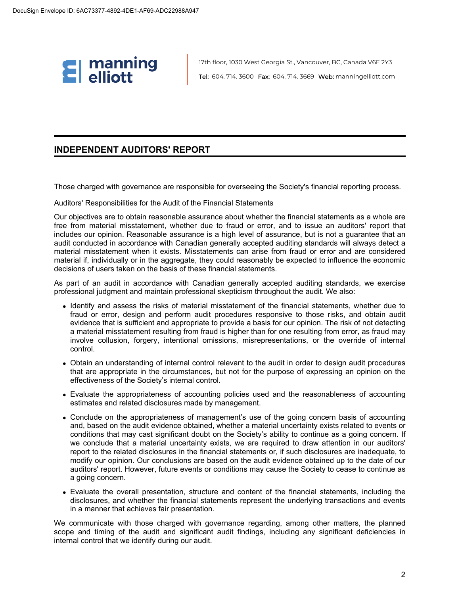

17th floor, 1030 West Georgia St., Vancouver, BC, Canada V6E 2Y3 Tel: 604. 714. 3600 Fax: 604. 714. 3669 Web: manningelliott.com

### **INDEPENDENT AUDITORS' REPORT**

Those charged with governance are responsible for overseeing the Society's financial reporting process.

Auditors' Responsibilities for the Audit of the Financial Statements

Our objectives are to obtain reasonable assurance about whether the financial statements as a whole are free from material misstatement, whether due to fraud or error, and to issue an auditors' report that includes our opinion. Reasonable assurance is a high level of assurance, but is not a guarantee that an audit conducted in accordance with Canadian generally accepted auditing standards will always detect a material misstatement when it exists. Misstatements can arise from fraud or error and are considered material if, individually or in the aggregate, they could reasonably be expected to influence the economic decisions of users taken on the basis of these financial statements.

As part of an audit in accordance with Canadian generally accepted auditing standards, we exercise professional judgment and maintain professional skepticism throughout the audit. We also:

- Identify and assess the risks of material misstatement of the financial statements, whether due to fraud or error, design and perform audit procedures responsive to those risks, and obtain audit evidence that is sufficient and appropriate to provide a basis for our opinion. The risk of not detecting a material misstatement resulting from fraud is higher than for one resulting from error, as fraud may involve collusion, forgery, intentional omissions, misrepresentations, or the override of internal control.
- Obtain an understanding of internal control relevant to the audit in order to design audit procedures that are appropriate in the circumstances, but not for the purpose of expressing an opinion on the effectiveness of the Society's internal control.
- Evaluate the appropriateness of accounting policies used and the reasonableness of accounting estimates and related disclosures made by management.
- Conclude on the appropriateness of management's use of the going concern basis of accounting and, based on the audit evidence obtained, whether a material uncertainty exists related to events or conditions that may cast significant doubt on the Society's ability to continue as a going concern. If we conclude that a material uncertainty exists, we are required to draw attention in our auditors' report to the related disclosures in the financial statements or, if such disclosures are inadequate, to modify our opinion. Our conclusions are based on the audit evidence obtained up to the date of our auditors' report. However, future events or conditions may cause the Society to cease to continue as a going concern.
- Evaluate the overall presentation, structure and content of the financial statements, including the disclosures, and whether the financial statements represent the underlying transactions and events in a manner that achieves fair presentation.

We communicate with those charged with governance regarding, among other matters, the planned scope and timing of the audit and significant audit findings, including any significant deficiencies in internal control that we identify during our audit.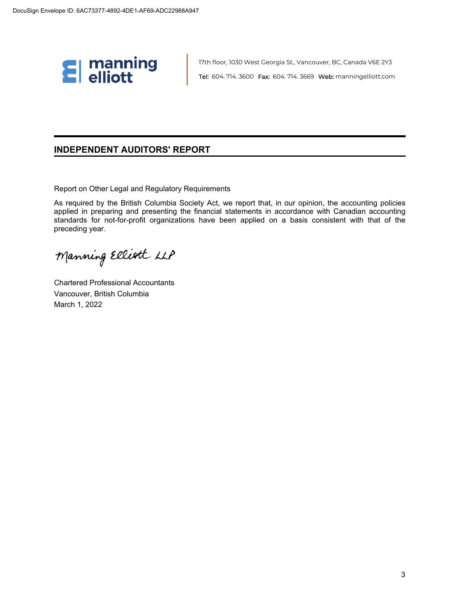

17th floor, 1030 West Georgia St., Vancouver, BC, Canada V6E 2Y3 Tel: 604. 714. 3600 Fax: 604. 714. 3669 Web: manningelliott.com

### **INDEPENDENT AUDITORS' REPORT**

Report on Other Legal and Regulatory Requirements

As required by the British Columbia Society Act, we report that, in our opinion, the accounting policies applied in preparing and presenting the financial statements in accordance with Canadian accounting standards for not-for-profit organizations have been applied on a basis consistent with that of the preceding year.

Manning Elliott LLP

Chartered Professional Accountants Vancouver, British Columbia March 1, 2022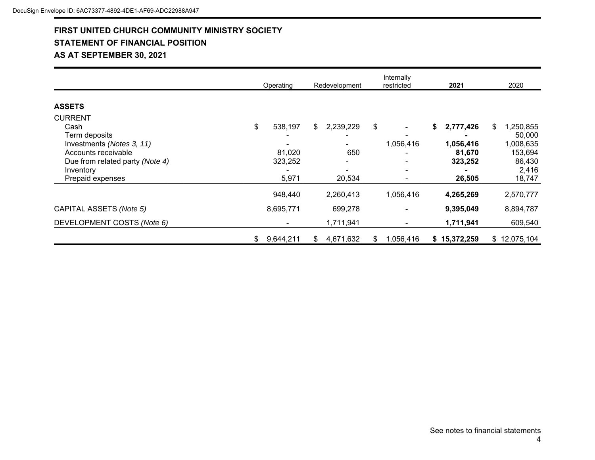### **FIRST UNITED CHURCH COMMUNITY MINISTRY SOCIET Y STATEMENT OF FINANCIAL POSITIONAS AT SEPTEMBER 30, 2021**

|                                                  | Operating       | Redevelopment   | Internally<br>restricted | 2021                | 2020                      |
|--------------------------------------------------|-----------------|-----------------|--------------------------|---------------------|---------------------------|
| <b>ASSETS</b>                                    |                 |                 |                          |                     |                           |
| <b>CURRENT</b><br>Cash<br>Term deposits          | \$<br>538,197   | 2,239,229<br>\$ | \$<br>-                  | \$<br>2,777,426     | 1,250,855<br>\$<br>50,000 |
| Investments (Notes 3, 11)<br>Accounts receivable | 81,020          | 650             | 1,056,416                | 1,056,416<br>81,670 | 1,008,635<br>153,694      |
| Due from related party (Note 4)<br>Inventory     | 323,252         |                 | $\overline{\phantom{a}}$ | 323,252             | 86,430<br>2,416           |
| Prepaid expenses                                 | 5,971           | 20,534          | ۰                        | 26,505              | 18,747                    |
|                                                  | 948,440         | 2,260,413       | 1,056,416                | 4,265,269           | 2,570,777                 |
| CAPITAL ASSETS (Note 5)                          | 8,695,771       | 699,278         |                          | 9,395,049           | 8,894,787                 |
| DEVELOPMENT COSTS (Note 6)                       |                 | 1,711,941       |                          | 1,711,941           | 609,540                   |
|                                                  | 9,644,211<br>\$ | 4,671,632<br>\$ | 1,056,416<br>\$.         | \$15,372,259        | \$12,075,104              |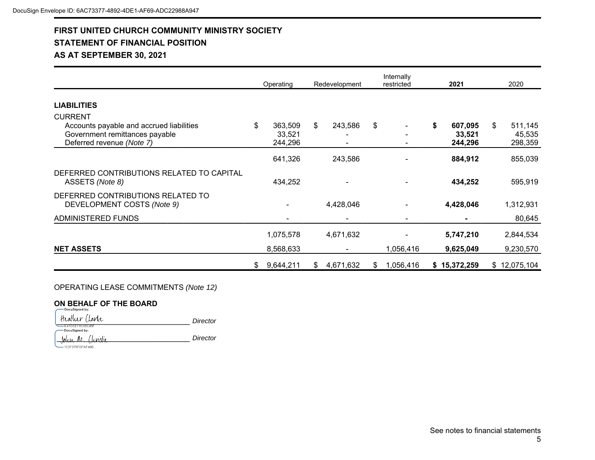## **FIRST UNITED CHURCH COMMUNITY MINISTRY SOCIET Y STATEMENT OF FINANCIAL POSITIONAS AT SEPTEMBER 30, 2021**

|                                                                 | Operating       |                | Redevelopment |     | Internally<br>restricted     | 2021          | 2020          |
|-----------------------------------------------------------------|-----------------|----------------|---------------|-----|------------------------------|---------------|---------------|
| <b>LIABILITIES</b>                                              |                 |                |               |     |                              |               |               |
| <b>CURRENT</b>                                                  |                 |                |               |     |                              |               |               |
| Accounts payable and accrued liabilities                        | \$<br>363,509   | $\mathfrak{L}$ | 243,586       | \$  |                              | \$<br>607,095 | \$<br>511,145 |
| Government remittances payable                                  | 33,521          |                |               |     |                              | 33,521        | 45,535        |
| Deferred revenue (Note 7)                                       | 244,296         |                |               |     |                              | 244,296       | 298,359       |
|                                                                 | 641,326         |                | 243,586       |     |                              | 884,912       | 855,039       |
| DEFERRED CONTRIBUTIONS RELATED TO CAPITAL<br>ASSETS (Note 8)    | 434,252         |                |               |     |                              | 434,252       | 595,919       |
| DEFERRED CONTRIBUTIONS RELATED TO<br>DEVELOPMENT COSTS (Note 9) |                 |                | 4,428,046     |     |                              | 4,428,046     | 1,312,931     |
| <b>ADMINISTERED FUNDS</b>                                       |                 |                |               |     | $\qquad \qquad \blacksquare$ |               | 80,645        |
|                                                                 | 1,075,578       |                | 4,671,632     |     |                              | 5,747,210     | 2,844,534     |
| <b>NET ASSETS</b>                                               | 8,568,633       |                |               |     | 1,056,416                    | 9,625,049     | 9,230,570     |
|                                                                 | \$<br>9,644,211 |                | \$4,671,632   | \$. | 1,056,416                    | \$15,372,259  | \$12,075,104  |

OPERATING LEASE COMMITMENTS *(Note 12)*

## **ON BEHALF OF THE BOARD**

\_\_\_\_\_\_\_\_\_\_\_\_\_\_\_\_\_\_\_\_\_\_\_\_\_\_\_\_\_ *Director* 

-DocuSigned by:

\_\_\_\_\_\_\_\_\_\_\_\_\_\_\_\_\_\_\_\_\_\_\_\_\_\_\_\_\_ *Director* 

—<br>—1E3F375FDFAF40B...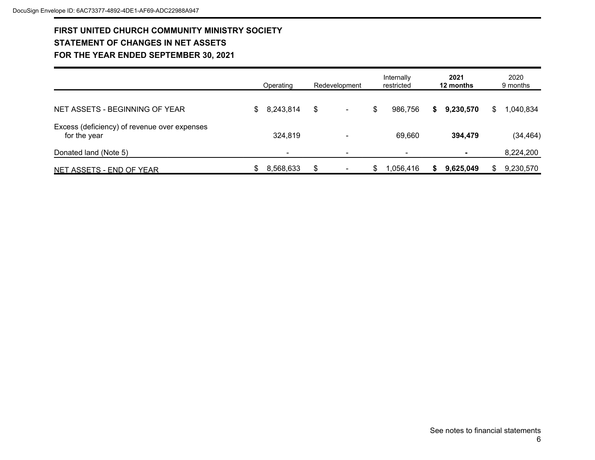## **FIRST UNITED CHURCH COMMUNITY MINISTRY SOCIET Y STATEMENT OF CHANGES IN NET ASSETSFOR THE YEAR ENDED SEPTEMBER 30, 2021**

|                                                              |    | Operating | Redevelopment                  | Internally<br>restricted |                          | 2021<br>12 months |           | 2020<br>9 months |           |
|--------------------------------------------------------------|----|-----------|--------------------------------|--------------------------|--------------------------|-------------------|-----------|------------------|-----------|
| NET ASSETS - BEGINNING OF YEAR                               | S. | 8,243,814 | \$<br>$\overline{\phantom{a}}$ | \$                       | 986,756                  | S                 | 9,230,570 | S                | 1,040,834 |
| Excess (deficiency) of revenue over expenses<br>for the year |    | 324,819   |                                |                          | 69,660                   |                   | 394,479   |                  | (34, 464) |
| Donated land (Note 5)                                        |    |           |                                |                          | $\overline{\phantom{0}}$ |                   |           |                  | 8,224,200 |
| NET ASSETS - END OF YEAR                                     |    | 8,568,633 | \$                             |                          | 1,056,416                |                   | 9,625,049 |                  | 9,230,570 |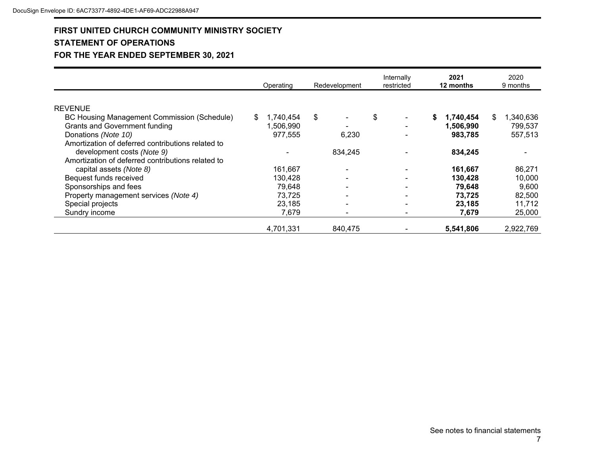## **FIRST UNITED CHURCH COMMUNITY MINISTRY SOCIETYSTATEMENT OF OPERATIONSFOR THE YEAR ENDED SEPTEMBER 30, 2021**

|                                                   | Operating       | Redevelopment  | Internally<br>restricted | 2021<br>12 months | 2020<br>9 months |
|---------------------------------------------------|-----------------|----------------|--------------------------|-------------------|------------------|
|                                                   |                 |                |                          |                   |                  |
| <b>REVENUE</b>                                    |                 |                |                          |                   |                  |
| BC Housing Management Commission (Schedule)       | 1,740,454<br>S. | \$             | \$                       | 1,740,454<br>S.   | 1,340,636<br>\$. |
| <b>Grants and Government funding</b>              | 1,506,990       |                |                          | 1,506,990         | 799,537          |
| Donations (Note 10)                               | 977,555         | 6,230          |                          | 983,785           | 557,513          |
| Amortization of deferred contributions related to |                 |                |                          |                   |                  |
| development costs (Note 9)                        |                 | 834,245        |                          | 834,245           |                  |
| Amortization of deferred contributions related to |                 |                |                          |                   |                  |
| capital assets (Note 8)                           | 161,667         | $\blacksquare$ |                          | 161,667           | 86,271           |
| Bequest funds received                            | 130,428         |                |                          | 130,428           | 10,000           |
| Sponsorships and fees                             | 79,648          |                |                          | 79,648            | 9,600            |
| Property management services (Note 4)             | 73,725          |                |                          | 73,725            | 82,500           |
| Special projects                                  | 23,185          |                |                          | 23,185            | 11,712           |
| Sundry income                                     | 7,679           |                |                          | 7,679             | 25,000           |
|                                                   |                 |                |                          |                   |                  |
|                                                   | 4,701,331       | 840,475        |                          | 5,541,806         | 2,922,769        |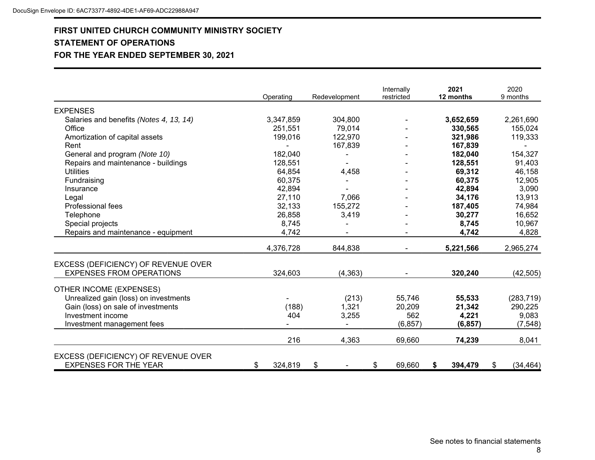## **FIRST UNITED CHURCH COMMUNITY MINISTRY SOCIETYSTATEMENT OF OPERATIONSFOR THE YEAR ENDED SEPTEMBER 30, 2021**

|                                         | Operating     | Redevelopment |       | Internally<br>restricted | 2021<br>12 months |           | 2020<br>9 months |
|-----------------------------------------|---------------|---------------|-------|--------------------------|-------------------|-----------|------------------|
| <b>EXPENSES</b>                         |               |               |       |                          |                   |           |                  |
| Salaries and benefits (Notes 4, 13, 14) | 3,347,859     | 304,800       |       |                          |                   | 3,652,659 | 2,261,690        |
| Office                                  | 251,551       | 79,014        |       |                          |                   | 330,565   | 155,024          |
| Amortization of capital assets          | 199,016       | 122,970       |       |                          |                   | 321,986   | 119,333          |
| Rent                                    |               | 167,839       |       |                          |                   | 167,839   |                  |
| General and program (Note 10)           | 182,040       |               |       |                          |                   | 182,040   | 154,327          |
| Repairs and maintenance - buildings     | 128,551       |               |       |                          |                   | 128,551   | 91,403           |
| <b>Utilities</b>                        | 64,854        | 4,458         |       |                          |                   | 69,312    | 46,158           |
| Fundraising                             | 60,375        |               |       |                          |                   | 60,375    | 12,905           |
| Insurance                               | 42,894        |               |       |                          |                   | 42,894    | 3,090            |
| Legal                                   | 27,110        | 7,066         |       |                          |                   | 34,176    | 13,913           |
| Professional fees                       | 32,133        | 155,272       |       |                          |                   | 187,405   | 74,984           |
| Telephone                               | 26,858        | 3,419         |       |                          |                   | 30,277    | 16,652           |
| Special projects                        | 8,745         |               |       |                          |                   | 8,745     | 10,967           |
| Repairs and maintenance - equipment     | 4,742         |               |       |                          |                   | 4,742     | 4,828            |
|                                         | 4,376,728     | 844,838       |       |                          |                   | 5,221,566 | 2,965,274        |
| EXCESS (DEFICIENCY) OF REVENUE OVER     |               |               |       |                          |                   |           |                  |
| <b>EXPENSES FROM OPERATIONS</b>         | 324,603       | (4, 363)      |       |                          |                   | 320,240   | (42, 505)        |
| OTHER INCOME (EXPENSES)                 |               |               |       |                          |                   |           |                  |
| Unrealized gain (loss) on investments   |               |               | (213) | 55,746                   |                   | 55,533    | (283, 719)       |
| Gain (loss) on sale of investments      | (188)         | 1,321         |       | 20,209                   |                   | 21,342    | 290,225          |
| Investment income                       | 404           | 3,255         |       | 562                      |                   | 4,221     | 9,083            |
| Investment management fees              |               |               |       | (6, 857)                 |                   | (6, 857)  | (7, 548)         |
|                                         | 216           | 4,363         |       | 69,660                   |                   | 74,239    | 8,041            |
| EXCESS (DEFICIENCY) OF REVENUE OVER     |               |               |       |                          |                   |           |                  |
| <b>EXPENSES FOR THE YEAR</b>            | \$<br>324,819 | \$            | \$    | 69,660                   | \$                | 394,479   | \$<br>(34, 464)  |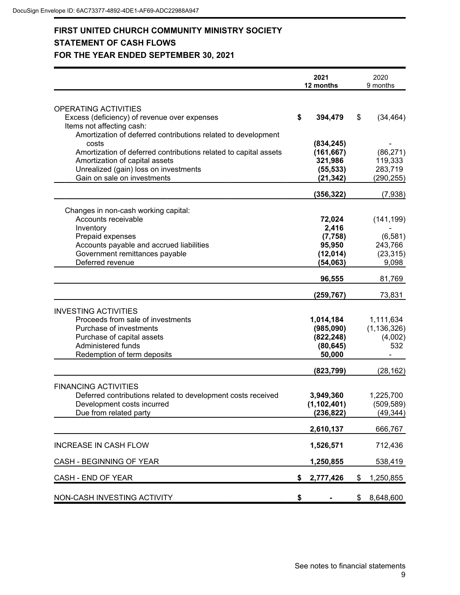### **FIRST UNITED CHURCH COMMUNITY MINISTRY SOCIETY STATEMENT OF CASH FLOWS FOR THE YEAR ENDED SEPTEMBER 30, 2021**

|                                                                             | 2021<br>12 months      | 2020<br>9 months   |
|-----------------------------------------------------------------------------|------------------------|--------------------|
|                                                                             |                        |                    |
| <b>OPERATING ACTIVITIES</b><br>Excess (deficiency) of revenue over expenses | \$<br>394,479          | \$<br>(34, 464)    |
| Items not affecting cash:                                                   |                        |                    |
| Amortization of deferred contributions related to development               |                        |                    |
| costs                                                                       | (834, 245)             |                    |
| Amortization of deferred contributions related to capital assets            | (161, 667)             | (86, 271)          |
| Amortization of capital assets<br>Unrealized (gain) loss on investments     | 321,986                | 119,333<br>283,719 |
| Gain on sale on investments                                                 | (55, 533)<br>(21, 342) | (290, 255)         |
|                                                                             |                        |                    |
|                                                                             | (356, 322)             | (7,938)            |
| Changes in non-cash working capital:                                        |                        |                    |
| Accounts receivable                                                         | 72,024                 | (141, 199)         |
| Inventory                                                                   | 2,416                  |                    |
| Prepaid expenses                                                            | (7, 758)               | (6, 581)           |
| Accounts payable and accrued liabilities                                    | 95,950                 | 243,766            |
| Government remittances payable<br>Deferred revenue                          | (12, 014)<br>(54, 063) | (23, 315)<br>9,098 |
|                                                                             | 96,555                 | 81,769             |
|                                                                             | (259, 767)             | 73,831             |
| <b>INVESTING ACTIVITIES</b>                                                 |                        |                    |
| Proceeds from sale of investments                                           | 1,014,184              | 1,111,634          |
| Purchase of investments                                                     | (985,090)              | (1, 136, 326)      |
| Purchase of capital assets                                                  | (822, 248)             | (4,002)            |
| Administered funds                                                          | (80, 645)              | 532                |
| Redemption of term deposits                                                 | 50,000                 | $\overline{a}$     |
|                                                                             | (823,799)              | (28, 162)          |
| <b>FINANCING ACTIVITIES</b>                                                 |                        |                    |
| Deferred contributions related to development costs received                | 3,949,360              | 1,225,700          |
| Development costs incurred                                                  | (1, 102, 401)          | (509, 589)         |
| Due from related party                                                      | (236, 822)             | (49, 344)          |
|                                                                             | 2,610,137              | 666,767            |
| <b>INCREASE IN CASH FLOW</b>                                                | 1,526,571              | 712,436            |
| CASH - BEGINNING OF YEAR                                                    | 1,250,855              | 538,419            |
| CASH - END OF YEAR                                                          | \$<br>2,777,426        | \$<br>1,250,855    |
| NON-CASH INVESTING ACTIVITY                                                 | \$                     | \$<br>8,648,600    |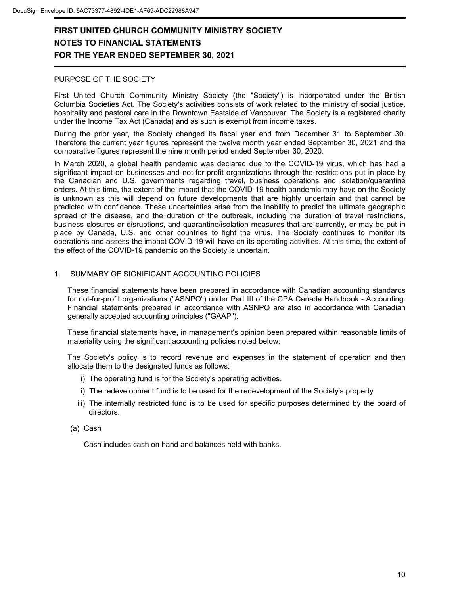#### PURPOSE OF THE SOCIETY

First United Church Community Ministry Society (the "Society") is incorporated under the British Columbia Societies Act. The Society's activities consists of work related to the ministry of social justice, hospitality and pastoral care in the Downtown Eastside of Vancouver. The Society is a registered charity under the Income Tax Act (Canada) and as such is exempt from income taxes.

During the prior year, the Society changed its fiscal year end from December 31 to September 30. Therefore the current year figures represent the twelve month year ended September 30, 2021 and the comparative figures represent the nine month period ended September 30, 2020.

In March 2020, a global health pandemic was declared due to the COVID-19 virus, which has had a significant impact on businesses and not-for-profit organizations through the restrictions put in place by the Canadian and U.S. governments regarding travel, business operations and isolation/quarantine orders. At this time, the extent of the impact that the COVID-19 health pandemic may have on the Society is unknown as this will depend on future developments that are highly uncertain and that cannot be predicted with confidence. These uncertainties arise from the inability to predict the ultimate geographic spread of the disease, and the duration of the outbreak, including the duration of travel restrictions, business closures or disruptions, and quarantine/isolation measures that are currently, or may be put in place by Canada, U.S. and other countries to fight the virus. The Society continues to monitor its operations and assess the impact COVID-19 will have on its operating activities. At this time, the extent of the effect of the COVID-19 pandemic on the Society is uncertain.

#### 1. SUMMARY OF SIGNIFICANT ACCOUNTING POLICIES

These financial statements have been prepared in accordance with Canadian accounting standards for not-for-profit organizations ("ASNPO") under Part III of the CPA Canada Handbook - Accounting. Financial statements prepared in accordance with ASNPO are also in accordance with Canadian generally accepted accounting principles ("GAAP").

These financial statements have, in management's opinion been prepared within reasonable limits of materiality using the significant accounting policies noted below:

The Society's policy is to record revenue and expenses in the statement of operation and then allocate them to the designated funds as follows:

- i) The operating fund is for the Society's operating activities.
- ii) The redevelopment fund is to be used for the redevelopment of the Society's property
- iii) The internally restricted fund is to be used for specific purposes determined by the board of directors.
- (a) Cash

Cash includes cash on hand and balances held with banks.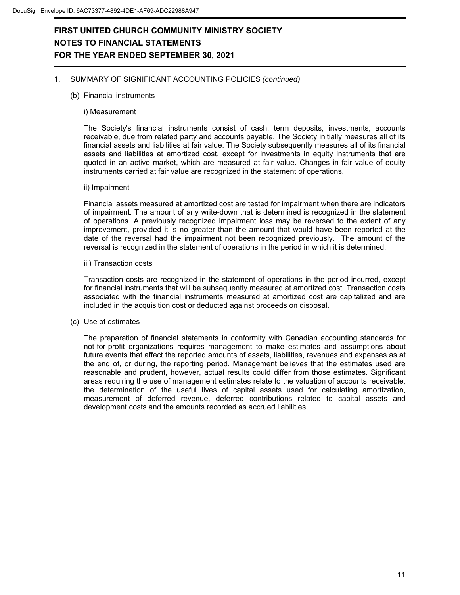#### 1. SUMMARY OF SIGNIFICANT ACCOUNTING POLICIES *(continued)*

(b) Financial instruments

#### i) Measurement

The Society's financial instruments consist of cash, term deposits, investments, accounts receivable, due from related party and accounts payable. The Society initially measures all of its financial assets and liabilities at fair value. The Society subsequently measures all of its financial assets and liabilities at amortized cost, except for investments in equity instruments that are quoted in an active market, which are measured at fair value. Changes in fair value of equity instruments carried at fair value are recognized in the statement of operations.

#### ii) Impairment

Financial assets measured at amortized cost are tested for impairment when there are indicators of impairment. The amount of any write-down that is determined is recognized in the statement of operations. A previously recognized impairment loss may be reversed to the extent of any improvement, provided it is no greater than the amount that would have been reported at the date of the reversal had the impairment not been recognized previously. The amount of the reversal is recognized in the statement of operations in the period in which it is determined.

#### iii) Transaction costs

Transaction costs are recognized in the statement of operations in the period incurred, except for financial instruments that will be subsequently measured at amortized cost. Transaction costs associated with the financial instruments measured at amortized cost are capitalized and are included in the acquisition cost or deducted against proceeds on disposal.

#### (c) Use of estimates

The preparation of financial statements in conformity with Canadian accounting standards for not-for-profit organizations requires management to make estimates and assumptions about future events that affect the reported amounts of assets, liabilities, revenues and expenses as at the end of, or during, the reporting period. Management believes that the estimates used are reasonable and prudent, however, actual results could differ from those estimates. Significant areas requiring the use of management estimates relate to the valuation of accounts receivable, the determination of the useful lives of capital assets used for calculating amortization, measurement of deferred revenue, deferred contributions related to capital assets and development costs and the amounts recorded as accrued liabilities.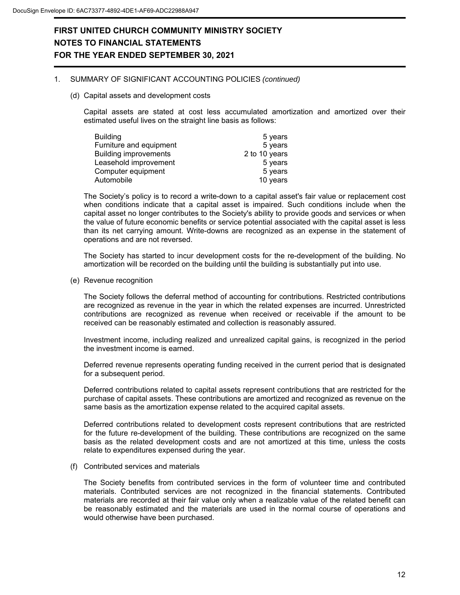#### 1. SUMMARY OF SIGNIFICANT ACCOUNTING POLICIES *(continued)*

(d) Capital assets and development costs

Capital assets are stated at cost less accumulated amortization and amortized over their estimated useful lives on the straight line basis as follows:

| <b>Building</b>              | 5 years       |
|------------------------------|---------------|
| Furniture and equipment      | 5 years       |
| <b>Building improvements</b> | 2 to 10 years |
| Leasehold improvement        | 5 years       |
| Computer equipment           | 5 years       |
| Automobile                   | 10 years      |

The Society's policy is to record a write-down to a capital asset's fair value or replacement cost when conditions indicate that a capital asset is impaired. Such conditions include when the capital asset no longer contributes to the Society's ability to provide goods and services or when the value of future economic benefits or service potential associated with the capital asset is less than its net carrying amount. Write-downs are recognized as an expense in the statement of operations and are not reversed.

The Society has started to incur development costs for the re-development of the building. No amortization will be recorded on the building until the building is substantially put into use.

(e) Revenue recognition

The Society follows the deferral method of accounting for contributions. Restricted contributions are recognized as revenue in the year in which the related expenses are incurred. Unrestricted contributions are recognized as revenue when received or receivable if the amount to be received can be reasonably estimated and collection is reasonably assured.

Investment income, including realized and unrealized capital gains, is recognized in the period the investment income is earned.

Deferred revenue represents operating funding received in the current period that is designated for a subsequent period.

Deferred contributions related to capital assets represent contributions that are restricted for the purchase of capital assets. These contributions are amortized and recognized as revenue on the same basis as the amortization expense related to the acquired capital assets.

Deferred contributions related to development costs represent contributions that are restricted for the future re-development of the building. These contributions are recognized on the same basis as the related development costs and are not amortized at this time, unless the costs relate to expenditures expensed during the year.

(f) Contributed services and materials

The Society benefits from contributed services in the form of volunteer time and contributed materials. Contributed services are not recognized in the financial statements. Contributed materials are recorded at their fair value only when a realizable value of the related benefit can be reasonably estimated and the materials are used in the normal course of operations and would otherwise have been purchased.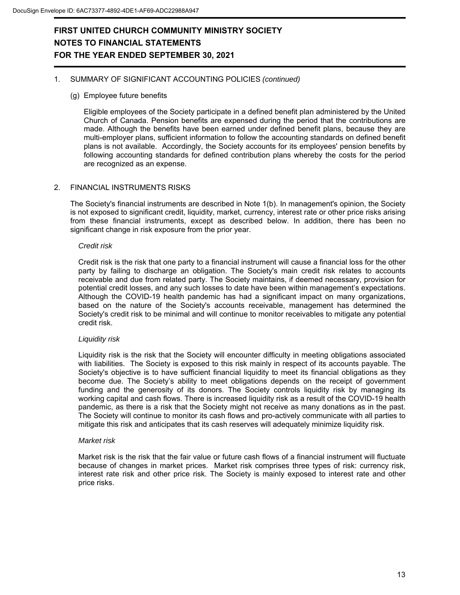#### 1. SUMMARY OF SIGNIFICANT ACCOUNTING POLICIES *(continued)*

(g) Employee future benefits

Eligible employees of the Society participate in a defined benefit plan administered by the United Church of Canada. Pension benefits are expensed during the period that the contributions are made. Although the benefits have been earned under defined benefit plans, because they are multi-employer plans, sufficient information to follow the accounting standards on defined benefit plans is not available. Accordingly, the Society accounts for its employees' pension benefits by following accounting standards for defined contribution plans whereby the costs for the period are recognized as an expense.

#### 2. FINANCIAL INSTRUMENTS RISKS

The Society's financial instruments are described in Note 1(b). In management's opinion, the Society is not exposed to significant credit, liquidity, market, currency, interest rate or other price risks arising from these financial instruments, except as described below. In addition, there has been no significant change in risk exposure from the prior year.

#### *Credit risk*

Credit risk is the risk that one party to a financial instrument will cause a financial loss for the other party by failing to discharge an obligation. The Society's main credit risk relates to accounts receivable and due from related party. The Society maintains, if deemed necessary, provision for potential credit losses, and any such losses to date have been within management's expectations. Although the COVID-19 health pandemic has had a significant impact on many organizations, based on the nature of the Society's accounts receivable, management has determined the Society's credit risk to be minimal and will continue to monitor receivables to mitigate any potential credit risk.

#### *Liquidity risk*

Liquidity risk is the risk that the Society will encounter difficulty in meeting obligations associated with liabilities. The Society is exposed to this risk mainly in respect of its accounts payable. The Society's objective is to have sufficient financial liquidity to meet its financial obligations as they become due. The Society's ability to meet obligations depends on the receipt of government funding and the generosity of its donors. The Society controls liquidity risk by managing its working capital and cash flows. There is increased liquidity risk as a result of the COVID-19 health pandemic, as there is a risk that the Society might not receive as many donations as in the past. The Society will continue to monitor its cash flows and pro-actively communicate with all parties to mitigate this risk and anticipates that its cash reserves will adequately minimize liquidity risk.

#### *Market risk*

Market risk is the risk that the fair value or future cash flows of a financial instrument will fluctuate because of changes in market prices. Market risk comprises three types of risk: currency risk, interest rate risk and other price risk. The Society is mainly exposed to interest rate and other price risks.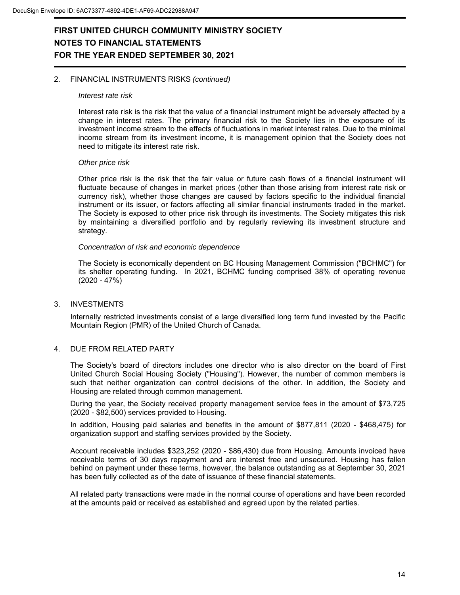#### 2. FINANCIAL INSTRUMENTS RISKS *(continued)*

#### *Interest rate risk*

Interest rate risk is the risk that the value of a financial instrument might be adversely affected by a change in interest rates. The primary financial risk to the Society lies in the exposure of its investment income stream to the effects of fluctuations in market interest rates. Due to the minimal income stream from its investment income, it is management opinion that the Society does not need to mitigate its interest rate risk.

#### *Other price risk*

Other price risk is the risk that the fair value or future cash flows of a financial instrument will fluctuate because of changes in market prices (other than those arising from interest rate risk or currency risk), whether those changes are caused by factors specific to the individual financial instrument or its issuer, or factors affecting all similar financial instruments traded in the market. The Society is exposed to other price risk through its investments. The Society mitigates this risk by maintaining a diversified portfolio and by regularly reviewing its investment structure and strategy.

#### *Concentration of risk and economic dependence*

The Society is economically dependent on BC Housing Management Commission ("BCHMC") for its shelter operating funding. In 2021, BCHMC funding comprised 38% of operating revenue (2020 - 47%)

3. INVESTMENTS

Internally restricted investments consist of a large diversified long term fund invested by the Pacific Mountain Region (PMR) of the United Church of Canada.

#### 4. DUE FROM RELATED PARTY

The Society's board of directors includes one director who is also director on the board of First United Church Social Housing Society ("Housing"). However, the number of common members is such that neither organization can control decisions of the other. In addition, the Society and Housing are related through common management.

During the year, the Society received property management service fees in the amount of \$73,725 (2020 - \$82,500) services provided to Housing.

In addition, Housing paid salaries and benefits in the amount of \$877,811 (2020 - \$468,475) for organization support and staffing services provided by the Society.

Account receivable includes \$323,252 (2020 - \$86,430) due from Housing. Amounts invoiced have receivable terms of 30 days repayment and are interest free and unsecured. Housing has fallen behind on payment under these terms, however, the balance outstanding as at September 30, 2021 has been fully collected as of the date of issuance of these financial statements.

All related party transactions were made in the normal course of operations and have been recorded at the amounts paid or received as established and agreed upon by the related parties.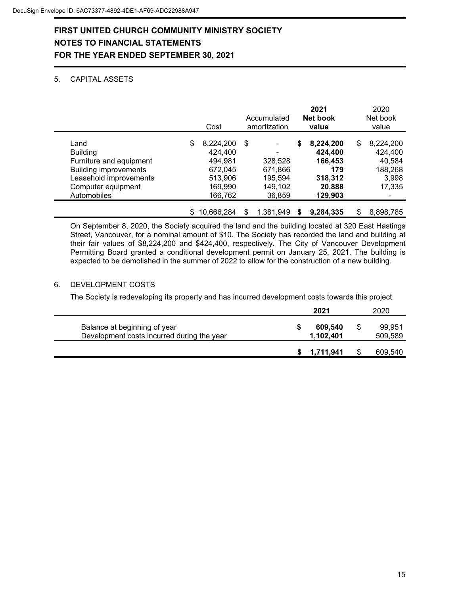### 5. CAPITAL ASSETS

|                                                                                                                                                   | Cost                                                                              |     | Accumulated<br>amortization                                                         |    | 2021<br>Net book<br>value                                              |    | 2020<br>Net book<br>value                                    |
|---------------------------------------------------------------------------------------------------------------------------------------------------|-----------------------------------------------------------------------------------|-----|-------------------------------------------------------------------------------------|----|------------------------------------------------------------------------|----|--------------------------------------------------------------|
| Land<br><b>Building</b><br>Furniture and equipment<br><b>Building improvements</b><br>Leasehold improvements<br>Computer equipment<br>Automobiles | \$<br>8,224,200<br>424,400<br>494.981<br>672,045<br>513,906<br>169,990<br>166,762 | -\$ | -<br>$\overline{\phantom{0}}$<br>328,528<br>671,866<br>195,594<br>149,102<br>36,859 | \$ | 8,224,200<br>424,400<br>166,453<br>179<br>318,312<br>20,888<br>129,903 | \$ | 8,224,200<br>424,400<br>40,584<br>188,268<br>3,998<br>17,335 |
|                                                                                                                                                   | \$<br>10,666,284                                                                  | \$  | 1,381,949                                                                           | S. | 9,284,335                                                              | S  | 8,898,785                                                    |

On September 8, 2020, the Society acquired the land and the building located at 320 East Hastings Street, Vancouver, for a nominal amount of \$10. The Society has recorded the land and building at their fair values of \$8,224,200 and \$424,400, respectively. The City of Vancouver Development Permitting Board granted a conditional development permit on January 25, 2021. The building is expected to be demolished in the summer of 2022 to allow for the construction of a new building.

### 6. DEVELOPMENT COSTS

The Society is redeveloping its property and has incurred development costs towards this project.

|                                                                            | 2021                 | 2020              |
|----------------------------------------------------------------------------|----------------------|-------------------|
| Balance at beginning of year<br>Development costs incurred during the year | 609.540<br>1,102,401 | 99.951<br>509,589 |
|                                                                            | 1.711.941            | 609,540           |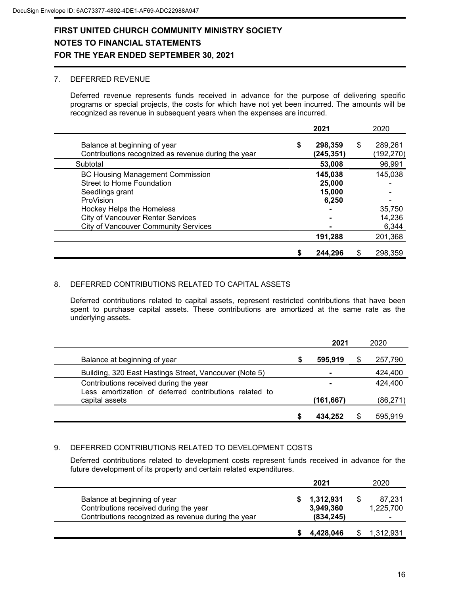#### 7. DEFERRED REVENUE

Deferred revenue represents funds received in advance for the purpose of delivering specific programs or special projects, the costs for which have not yet been incurred. The amounts will be recognized as revenue in subsequent years when the expenses are incurred.

|                                                                                     | 2021                        |   | 2020                  |
|-------------------------------------------------------------------------------------|-----------------------------|---|-----------------------|
| Balance at beginning of year<br>Contributions recognized as revenue during the year | \$<br>298,359<br>(245, 351) | S | 289,261<br>(192, 270) |
| Subtotal                                                                            | 53,008                      |   | 96,991                |
| <b>BC Housing Management Commission</b>                                             | 145,038                     |   | 145,038               |
| <b>Street to Home Foundation</b>                                                    | 25,000                      |   |                       |
| Seedlings grant                                                                     | 15,000                      |   |                       |
| ProVision                                                                           | 6,250                       |   |                       |
| Hockey Helps the Homeless                                                           |                             |   | 35,750                |
| <b>City of Vancouver Renter Services</b>                                            |                             |   | 14,236                |
| <b>City of Vancouver Community Services</b>                                         |                             |   | 6,344                 |
|                                                                                     | 191,288                     |   | 201,368               |
|                                                                                     | \$<br>244,296               | S | 298,359               |

#### 8. DEFERRED CONTRIBUTIONS RELATED TO CAPITAL ASSETS

Deferred contributions related to capital assets, represent restricted contributions that have been spent to purchase capital assets. These contributions are amortized at the same rate as the underlying assets.

|                                                                                                  | 2021      | 2020          |
|--------------------------------------------------------------------------------------------------|-----------|---------------|
| Balance at beginning of year                                                                     | 595,919   | \$<br>257,790 |
| Building, 320 East Hastings Street, Vancouver (Note 5)                                           | ۰         | 424,400       |
| Contributions received during the year<br>Less amortization of deferred contributions related to | ۰         | 424,400       |
| capital assets                                                                                   | (161,667) | (86,271)      |
|                                                                                                  | 434.252   | 595,919       |

### 9. DEFERRED CONTRIBUTIONS RELATED TO DEVELOPMENT COSTS

Deferred contributions related to development costs represent funds received in advance for the future development of its property and certain related expenditures.

|                                                                                                                               | 2021                                 | 2020                                            |
|-------------------------------------------------------------------------------------------------------------------------------|--------------------------------------|-------------------------------------------------|
| Balance at beginning of year<br>Contributions received during the year<br>Contributions recognized as revenue during the year | 1,312,931<br>3,949,360<br>(834, 245) | 87.231<br>1,225,700<br>$\overline{\phantom{0}}$ |
|                                                                                                                               | 4,428,046                            | 1.312.931                                       |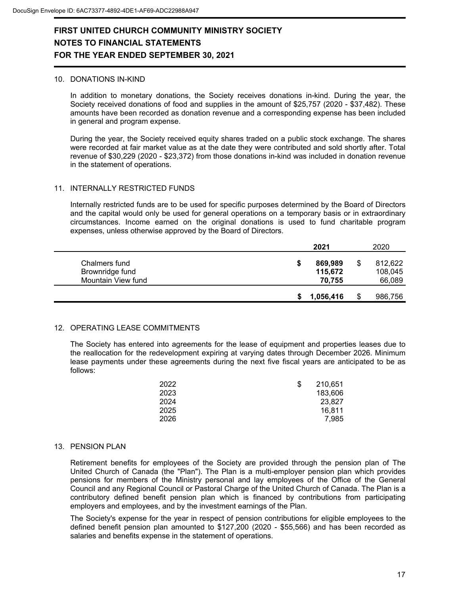#### 10. DONATIONS IN-KIND

In addition to monetary donations, the Society receives donations in-kind. During the year, the Society received donations of food and supplies in the amount of \$25,757 (2020 - \$37,482). These amounts have been recorded as donation revenue and a corresponding expense has been included in general and program expense.

During the year, the Society received equity shares traded on a public stock exchange. The shares were recorded at fair market value as at the date they were contributed and sold shortly after. Total revenue of \$30,229 (2020 - \$23,372) from those donations in-kind was included in donation revenue in the statement of operations.

#### 11. INTERNALLY RESTRICTED FUNDS

Internally restricted funds are to be used for specific purposes determined by the Board of Directors and the capital would only be used for general operations on a temporary basis or in extraordinary circumstances. Income earned on the original donations is used to fund charitable program expenses, unless otherwise approved by the Board of Directors.

|                                                        |   | 2021                         |  | 2020                         |  |
|--------------------------------------------------------|---|------------------------------|--|------------------------------|--|
| Chalmers fund<br>Brownridge fund<br>Mountain View fund | S | 869,989<br>115,672<br>70.755 |  | 812,622<br>108,045<br>66,089 |  |
|                                                        |   | 1,056,416                    |  | 986,756                      |  |

#### 12. OPERATING LEASE COMMITMENTS

The Society has entered into agreements for the lease of equipment and properties leases due to the reallocation for the redevelopment expiring at varying dates through December 2026. Minimum lease payments under these agreements during the next five fiscal years are anticipated to be as follows:

| 2022 | \$<br>210.651 |
|------|---------------|
| 2023 | 183,606       |
| 2024 | 23.827        |
| 2025 | 16.811        |
| 2026 | 7.985         |

#### 13. PENSION PLAN

Retirement benefits for employees of the Society are provided through the pension plan of The United Church of Canada (the "Plan"). The Plan is a multi-employer pension plan which provides pensions for members of the Ministry personal and lay employees of the Office of the General Council and any Regional Council or Pastoral Charge of the United Church of Canada. The Plan is a contributory defined benefit pension plan which is financed by contributions from participating employers and employees, and by the investment earnings of the Plan.

The Society's expense for the year in respect of pension contributions for eligible employees to the defined benefit pension plan amounted to \$127,200 (2020 - \$55,566) and has been recorded as salaries and benefits expense in the statement of operations.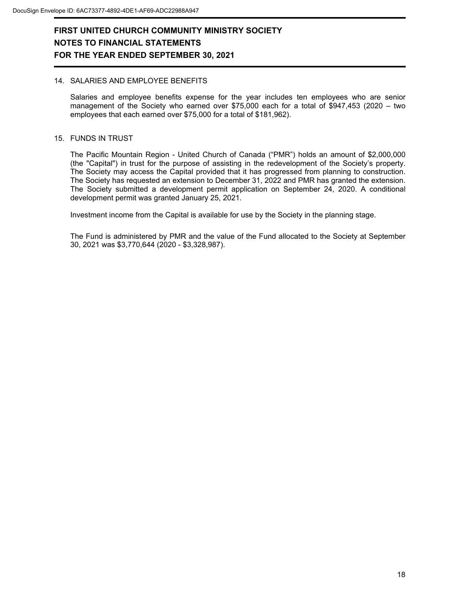#### 14. SALARIES AND EMPLOYEE BENEFITS

Salaries and employee benefits expense for the year includes ten employees who are senior management of the Society who earned over \$75,000 each for a total of \$947,453 (2020 – two employees that each earned over \$75,000 for a total of \$181,962).

#### 15. FUNDS IN TRUST

The Pacific Mountain Region - United Church of Canada ("PMR") holds an amount of \$2,000,000 (the "Capital") in trust for the purpose of assisting in the redevelopment of the Society's property. The Society may access the Capital provided that it has progressed from planning to construction. The Society has requested an extension to December 31, 2022 and PMR has granted the extension. The Society submitted a development permit application on September 24, 2020. A conditional development permit was granted January 25, 2021.

Investment income from the Capital is available for use by the Society in the planning stage.

The Fund is administered by PMR and the value of the Fund allocated to the Society at September 30, 2021 was \$3,770,644 (2020 - \$3,328,987).